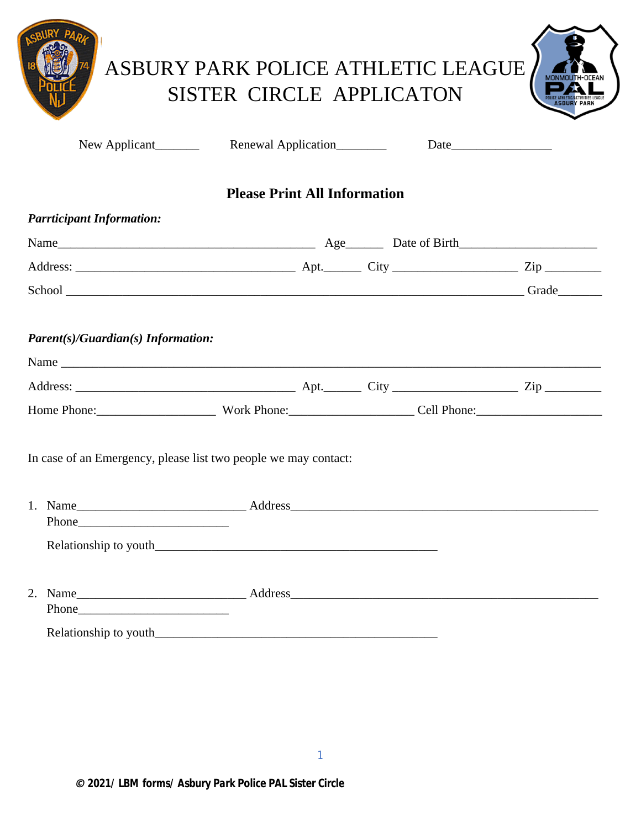|                                                                                                                                                                                                                                | ASBURY PARK POLICE ATHLETIC LEAGUE<br><b>SISTER CIRCLE APPLICATON</b> |      |  |
|--------------------------------------------------------------------------------------------------------------------------------------------------------------------------------------------------------------------------------|-----------------------------------------------------------------------|------|--|
| New Applicant                                                                                                                                                                                                                  | Renewal Application________                                           | Date |  |
|                                                                                                                                                                                                                                | <b>Please Print All Information</b>                                   |      |  |
| <b>Parrticipant Information:</b>                                                                                                                                                                                               |                                                                       |      |  |
|                                                                                                                                                                                                                                |                                                                       |      |  |
|                                                                                                                                                                                                                                |                                                                       |      |  |
|                                                                                                                                                                                                                                |                                                                       |      |  |
|                                                                                                                                                                                                                                |                                                                       |      |  |
| Home Phone: Work Phone: Work Phone: Cell Phone:                                                                                                                                                                                |                                                                       |      |  |
| In case of an Emergency, please list two people we may contact:                                                                                                                                                                |                                                                       |      |  |
|                                                                                                                                                                                                                                |                                                                       |      |  |
|                                                                                                                                                                                                                                |                                                                       |      |  |
| Phone expansion of the contract of the contract of the contract of the contract of the contract of the contract of the contract of the contract of the contract of the contract of the contract of the contract of the contrac |                                                                       |      |  |
|                                                                                                                                                                                                                                |                                                                       |      |  |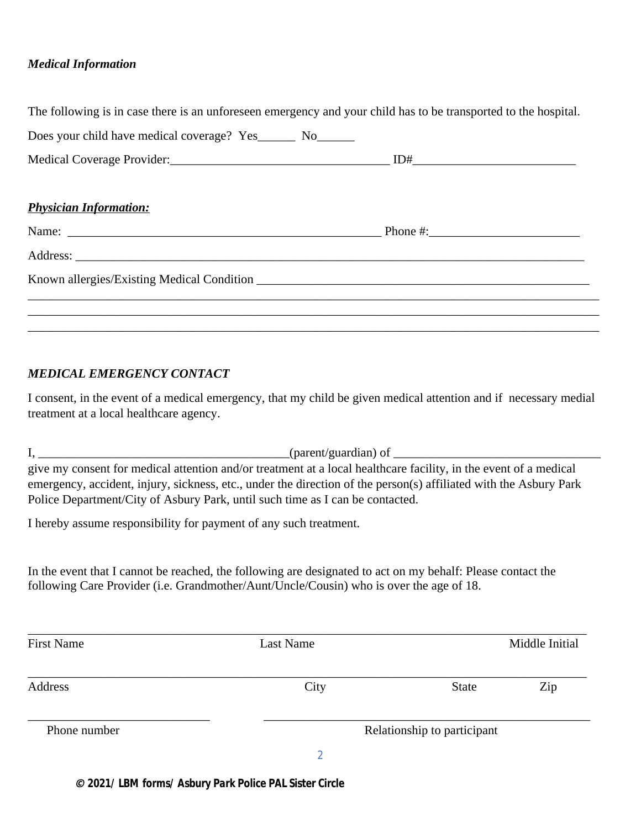#### *Medical Information*

|                                                               | The following is in case there is an unforeseen emergency and your child has to be transported to the hospital. |
|---------------------------------------------------------------|-----------------------------------------------------------------------------------------------------------------|
| Does your child have medical coverage? Yes________ No________ |                                                                                                                 |
|                                                               |                                                                                                                 |
| <b>Physician Information:</b>                                 |                                                                                                                 |
|                                                               |                                                                                                                 |
|                                                               |                                                                                                                 |
|                                                               |                                                                                                                 |
|                                                               |                                                                                                                 |
|                                                               |                                                                                                                 |

### *MEDICAL EMERGENCY CONTACT*

I consent, in the event of a medical emergency, that my child be given medical attention and if necessary medial treatment at a local healthcare agency.

 $I, \underline{\hspace{1cm}}$  (parent/guardian) of  $\underline{\hspace{1cm}}$ give my consent for medical attention and/or treatment at a local healthcare facility, in the event of a medical emergency, accident, injury, sickness, etc., under the direction of the person(s) affiliated with the Asbury Park Police Department/City of Asbury Park, until such time as I can be contacted.

I hereby assume responsibility for payment of any such treatment.

In the event that I cannot be reached, the following are designated to act on my behalf: Please contact the following Care Provider (i.e. Grandmother/Aunt/Uncle/Cousin) who is over the age of 18.

| <b>First Name</b> | Last Name |                             | Middle Initial |  |  |
|-------------------|-----------|-----------------------------|----------------|--|--|
| Address           | City      | <b>State</b>                | Zip            |  |  |
| Phone number      |           | Relationship to participant |                |  |  |
|                   |           |                             |                |  |  |

*© 2021/ LBM forms/ Asbury Park Police PAL Sister Circle*